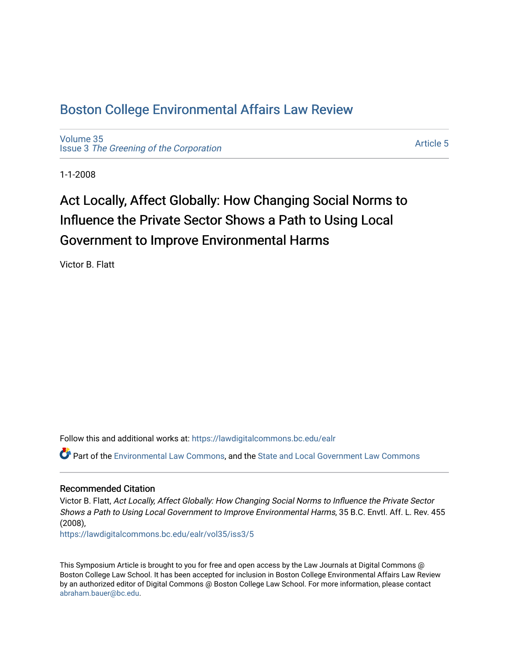# [Boston College Environmental Affairs Law Review](https://lawdigitalcommons.bc.edu/ealr)

[Volume 35](https://lawdigitalcommons.bc.edu/ealr/vol35) Issue 3 [The Greening of the Corporation](https://lawdigitalcommons.bc.edu/ealr/vol35/iss3)

[Article 5](https://lawdigitalcommons.bc.edu/ealr/vol35/iss3/5) 

1-1-2008

# Act Locally, Affect Globally: How Changing Social Norms to Influence the Private Sector Shows a Path to Using Local Government to Improve Environmental Harms

Victor B. Flatt

Follow this and additional works at: [https://lawdigitalcommons.bc.edu/ealr](https://lawdigitalcommons.bc.edu/ealr?utm_source=lawdigitalcommons.bc.edu%2Fealr%2Fvol35%2Fiss3%2F5&utm_medium=PDF&utm_campaign=PDFCoverPages) 

Part of the [Environmental Law Commons](http://network.bepress.com/hgg/discipline/599?utm_source=lawdigitalcommons.bc.edu%2Fealr%2Fvol35%2Fiss3%2F5&utm_medium=PDF&utm_campaign=PDFCoverPages), and the [State and Local Government Law Commons](http://network.bepress.com/hgg/discipline/879?utm_source=lawdigitalcommons.bc.edu%2Fealr%2Fvol35%2Fiss3%2F5&utm_medium=PDF&utm_campaign=PDFCoverPages)

# Recommended Citation

Victor B. Flatt, Act Locally, Affect Globally: How Changing Social Norms to Influence the Private Sector Shows a Path to Using Local Government to Improve Environmental Harms, 35 B.C. Envtl. Aff. L. Rev. 455 (2008),

[https://lawdigitalcommons.bc.edu/ealr/vol35/iss3/5](https://lawdigitalcommons.bc.edu/ealr/vol35/iss3/5?utm_source=lawdigitalcommons.bc.edu%2Fealr%2Fvol35%2Fiss3%2F5&utm_medium=PDF&utm_campaign=PDFCoverPages) 

This Symposium Article is brought to you for free and open access by the Law Journals at Digital Commons @ Boston College Law School. It has been accepted for inclusion in Boston College Environmental Affairs Law Review by an authorized editor of Digital Commons @ Boston College Law School. For more information, please contact [abraham.bauer@bc.edu.](mailto:abraham.bauer@bc.edu)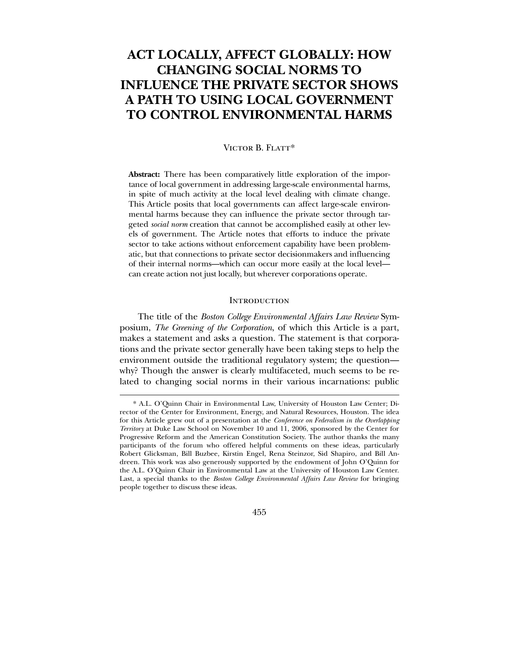# **ACT LOCALLY, AFFECT GLOBALLY: HOW CHANGING SOCIAL NORMS TO INFLUENCE THE PRIVATE SECTOR SHOWS A PATH TO USING LOCAL GOVERNMENT TO CONTROL ENVIRONMENTAL HARMS**

## VICTOR B. FLATT\*

**Abstract:** There has been comparatively little exploration of the importance of local government in addressing large-scale environmental harms, in spite of much activity at the local level dealing with climate change. This Article posits that local governments can affect large-scale environmental harms because they can influence the private sector through targeted *social norm* creation that cannot be accomplished easily at other levels of government. The Article notes that efforts to induce the private sector to take actions without enforcement capability have been problematic, but that connections to private sector decisionmakers and influencing of their internal norms—which can occur more easily at the local level can create action not just locally, but wherever corporations operate.

# **INTRODUCTION**

 The title of the *Boston College Environmental Affairs Law Review* Symposium, *The Greening of the Corporation*, of which this Article is a part, makes a statement and asks a question. The statement is that corporations and the private sector generally have been taking steps to help the environment outside the traditional regulatory system; the question why? Though the answer is clearly multifaceted, much seems to be related to changing social norms in their various incarnations: public

<sup>\*</sup> A.L. O'Quinn Chair in Environmental Law, University of Houston Law Center; Director of the Center for Environment, Energy, and Natural Resources, Houston. The idea for this Article grew out of a presentation at the *Conference on Federalism in the Overlapping Territory* at Duke Law School on November 10 and 11, 2006, sponsored by the Center for Progressive Reform and the American Constitution Society. The author thanks the many participants of the forum who offered helpful comments on these ideas, particularly Robert Glicksman, Bill Buzbee, Kirstin Engel, Rena Steinzor, Sid Shapiro, and Bill Andreen. This work was also generously supported by the endowment of John O'Quinn for the A.L. O'Quinn Chair in Environmental Law at the University of Houston Law Center. Last, a special thanks to the *Boston College Environmental Affairs Law Review* for bringing people together to discuss these ideas.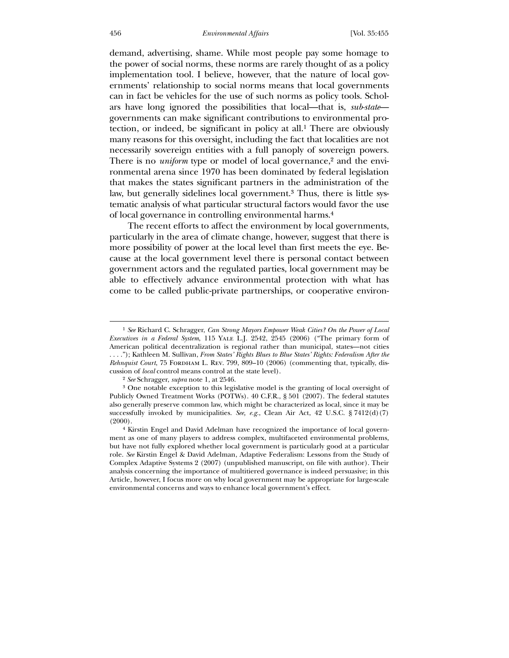demand, advertising, shame. While most people pay some homage to the power of social norms, these norms are rarely thought of as a policy implementation tool. I believe, however, that the nature of local governments' relationship to social norms means that local governments can in fact be vehicles for the use of such norms as policy tools. Scholars have long ignored the possibilities that local—that is, *sub-state* governments can make significant contributions to environmental protection, or indeed, be significant in policy at all.1 There are obviously many reasons for this oversight, including the fact that localities are not necessarily sovereign entities with a full panoply of sovereign powers. There is no *uniform* type or model of local governance,<sup>2</sup> and the environmental arena since 1970 has been dominated by federal legislation that makes the states significant partners in the administration of the law, but generally sidelines local government.3 Thus, there is little systematic analysis of what particular structural factors would favor the use of local governance in controlling environmental harms.4

 The recent efforts to affect the environment by local governments, particularly in the area of climate change, however, suggest that there is more possibility of power at the local level than first meets the eye. Because at the local government level there is personal contact between government actors and the regulated parties, local government may be able to effectively advance environmental protection with what has come to be called public-private partnerships, or cooperative environ-

<sup>1</sup> *See* Richard C. Schragger, *Can Strong Mayors Empower Weak Cities? On the Power of Local Executives in a Federal System*, 115 Yale L.J. 2542, 2545 (2006) ("The primary form of American political decentralization is regional rather than municipal, states—not cities

<sup>. . . .&</sup>quot;); Kathleen M. Sullivan, *From States' Rights Blues to Blue States' Rights: Federalism After the Rehnquist Court*, 75 FORDHAM L. REV. 799, 809–10 (2006) (commenting that, typically, discussion of *local* control means control at the state level).

<sup>2</sup> *See* Schragger, *supra* note 1, at 2546.

<sup>3</sup> One notable exception to this legislative model is the granting of local oversight of Publicly Owned Treatment Works (POTWs). 40 C.F.R., § 501 (2007). The federal statutes also generally preserve common law, which might be characterized as local, since it may be successfully invoked by municipalities. *See, e.g.*, Clean Air Act, 42 U.S.C. § 7412(d)(7) (2000).

<sup>4</sup> Kirstin Engel and David Adelman have recognized the importance of local government as one of many players to address complex, multifaceted environmental problems, but have not fully explored whether local government is particularly good at a particular role. *See* Kirstin Engel & David Adelman, Adaptive Federalism: Lessons from the Study of Complex Adaptive Systems 2 (2007) (unpublished manuscript, on file with author). Their analysis concerning the importance of multitiered governance is indeed persuasive; in this Article, however, I focus more on why local government may be appropriate for large-scale environmental concerns and ways to enhance local government's effect.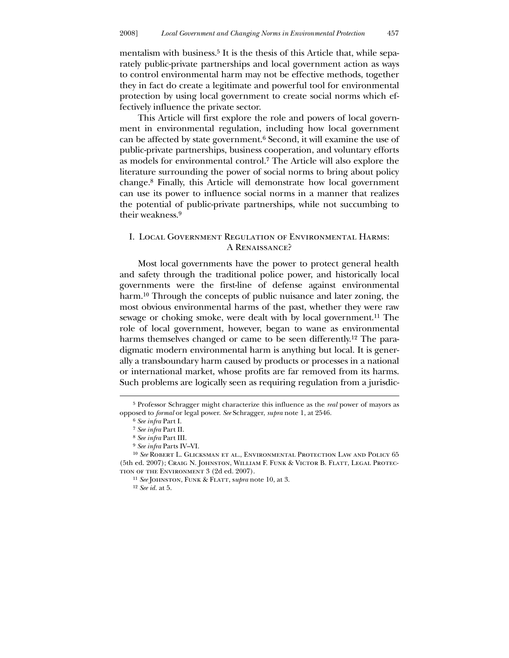mentalism with business.<sup>5</sup> It is the thesis of this Article that, while separately public-private partnerships and local government action as ways to control environmental harm may not be effective methods, together they in fact do create a legitimate and powerful tool for environmental protection by using local government to create social norms which effectively influence the private sector.

 This Article will first explore the role and powers of local government in environmental regulation, including how local government can be affected by state government.6 Second, it will examine the use of public-private partnerships, business cooperation, and voluntary efforts as models for environmental control.7 The Article will also explore the literature surrounding the power of social norms to bring about policy change.8 Finally, this Article will demonstrate how local government can use its power to influence social norms in a manner that realizes the potential of public-private partnerships, while not succumbing to their weakness.9

# I. Local Government Regulation of Environmental Harms: A Renaissance?

 Most local governments have the power to protect general health and safety through the traditional police power, and historically local governments were the first-line of defense against environmental harm.<sup>10</sup> Through the concepts of public nuisance and later zoning, the most obvious environmental harms of the past, whether they were raw sewage or choking smoke, were dealt with by local government.11 The role of local government, however, began to wane as environmental harms themselves changed or came to be seen differently.<sup>12</sup> The paradigmatic modern environmental harm is anything but local. It is generally a transboundary harm caused by products or processes in a national or international market, whose profits are far removed from its harms. Such problems are logically seen as requiring regulation from a jurisdic-

<sup>5</sup> Professor Schragger might characterize this influence as the *real* power of mayors as opposed to *formal* or legal power. *See* Schragger, *supra* note 1, at 2546.

<sup>6</sup> *See infra* Part I.

<sup>7</sup> *See infra* Part II.

<sup>8</sup> *See infra* Part III.

<sup>9</sup> *See infra* Parts IV–VI.

<sup>10</sup> *See* Robert L. Glicksman et al., Environmental Protection Law and Policy 65 (5th ed. 2007); Craig N. Johnston, William F. Funk & Victor B. Flatt, Legal Protection of the Environment 3 (2d ed. 2007).

<sup>11</sup> *See* Johnston, Funk & Flatt, s*upra* note 10, at 3.

<sup>12</sup> *See id.* at 5.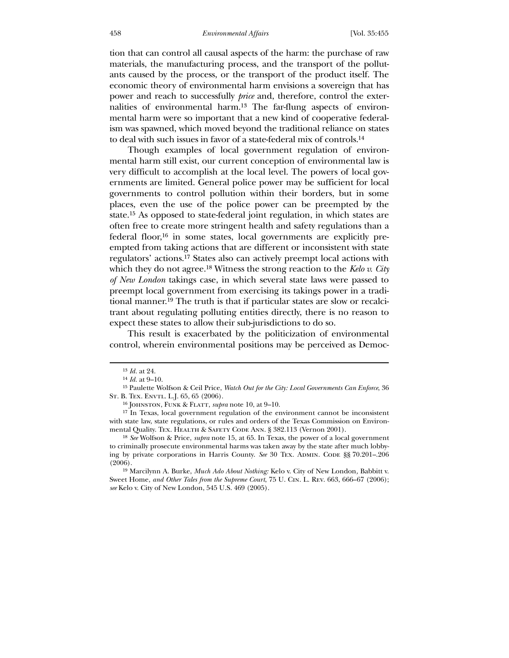tion that can control all causal aspects of the harm: the purchase of raw materials, the manufacturing process, and the transport of the pollutants caused by the process, or the transport of the product itself. The economic theory of environmental harm envisions a sovereign that has power and reach to successfully *price* and, therefore, control the externalities of environmental harm.13 The far-flung aspects of environmental harm were so important that a new kind of cooperative federalism was spawned, which moved beyond the traditional reliance on states to deal with such issues in favor of a state-federal mix of controls.14

 Though examples of local government regulation of environmental harm still exist, our current conception of environmental law is very difficult to accomplish at the local level. The powers of local governments are limited. General police power may be sufficient for local governments to control pollution within their borders, but in some places, even the use of the police power can be preempted by the state.15 As opposed to state-federal joint regulation, in which states are often free to create more stringent health and safety regulations than a federal floor,16 in some states, local governments are explicitly preempted from taking actions that are different or inconsistent with state regulators' actions.17 States also can actively preempt local actions with which they do not agree.18 Witness the strong reaction to the *Kelo v. City of New London* takings case, in which several state laws were passed to preempt local government from exercising its takings power in a traditional manner.19 The truth is that if particular states are slow or recalcitrant about regulating polluting entities directly, there is no reason to expect these states to allow their sub-jurisdictions to do so.

 This result is exacerbated by the politicization of environmental control, wherein environmental positions may be perceived as Democ-

<sup>13</sup> *Id.* at 24.

<sup>14</sup> *Id.* at 9–10.

<sup>15</sup> Paulette Wolfson & Ceil Price, *Watch Out for the City: Local Governments Can Enforce*, 36 ST. B. TEX. ENVTL. L.J. 65, 65 (2006).

<sup>16</sup> Johnston, Funk & Flatt, *supra* note 10, at 9–10.

<sup>17</sup> In Texas, local government regulation of the environment cannot be inconsistent with state law, state regulations, or rules and orders of the Texas Commission on Environmental Quality. TEX. HEALTH & SAFETY CODE ANN. § 382.113 (Vernon 2001).

<sup>18</sup> *See* Wolfson & Price, *supra* note 15, at 65. In Texas, the power of a local government to criminally prosecute environmental harms was taken away by the state after much lobbying by private corporations in Harris County. *See* 30 Tex. ADMIN. CODE §§ 70.201-.206  $(2006).$ 

<sup>19</sup> Marcilynn A. Burke, *Much Ado About Nothing:* Kelo v. City of New London*,* Babbitt v. Sweet Home, *and Other Tales from the Supreme Court*, 75 U. Cin. L. Rev. 663, 666–67 (2006); *see* Kelo v. City of New London, 545 U.S. 469 (2005).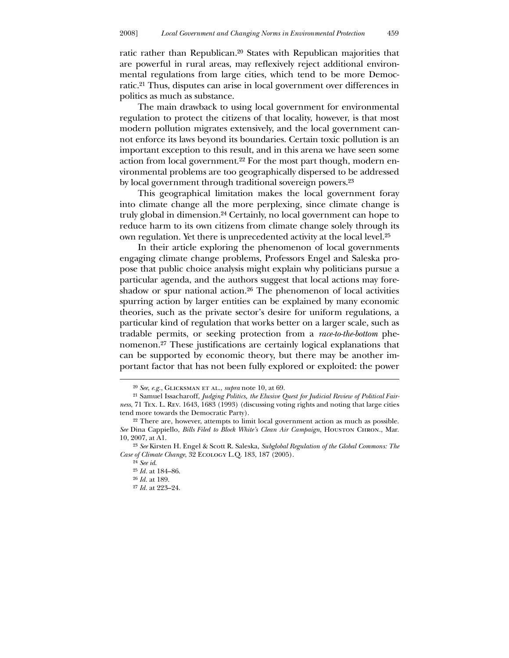ratic rather than Republican.20 States with Republican majorities that are powerful in rural areas, may reflexively reject additional environmental regulations from large cities, which tend to be more Democratic.21 Thus, disputes can arise in local government over differences in politics as much as substance.

 The main drawback to using local government for environmental regulation to protect the citizens of that locality, however, is that most modern pollution migrates extensively, and the local government cannot enforce its laws beyond its boundaries. Certain toxic pollution is an important exception to this result, and in this arena we have seen some action from local government.22 For the most part though, modern environmental problems are too geographically dispersed to be addressed by local government through traditional sovereign powers.23

 This geographical limitation makes the local government foray into climate change all the more perplexing, since climate change is truly global in dimension.24 Certainly, no local government can hope to reduce harm to its own citizens from climate change solely through its own regulation. Yet there is unprecedented activity at the local level.25

 In their article exploring the phenomenon of local governments engaging climate change problems, Professors Engel and Saleska propose that public choice analysis might explain why politicians pursue a particular agenda, and the authors suggest that local actions may foreshadow or spur national action.<sup>26</sup> The phenomenon of local activities spurring action by larger entities can be explained by many economic theories, such as the private sector's desire for uniform regulations, a particular kind of regulation that works better on a larger scale, such as tradable permits, or seeking protection from a *race-to-the-bottom* phenomenon.27 These justifications are certainly logical explanations that can be supported by economic theory, but there may be another important factor that has not been fully explored or exploited: the power

-

<sup>20</sup> *See*, *e.g.*, Glicksman et al., *supra* note 10, at 69.

<sup>21</sup> Samuel Issacharoff, *Judging Politics, the Elusive Quest for Judicial Review of Political Fairness*, 71 Tex. L. Rev. 1643, 1683 (1993) (discussing voting rights and noting that large cities tend more towards the Democratic Party).

<sup>22</sup> There are, however, attempts to limit local government action as much as possible. *See* Dina Cappiello, *Bills Filed to Block White's Clean Air Campaign*, Houston Chron., Mar. 10, 2007, at A1.

<sup>23</sup> *See* Kirsten H. Engel & Scott R. Saleska, *Subglobal Regulation of the Global Commons: The Case of Climate Change*, 32 Ecology L.Q. 183, 187 (2005).

<sup>24</sup> *See id*.

<sup>25</sup> *Id.* at 184–86.

<sup>26</sup> *Id.* at 189.

<sup>27</sup> *Id.* at 223–24.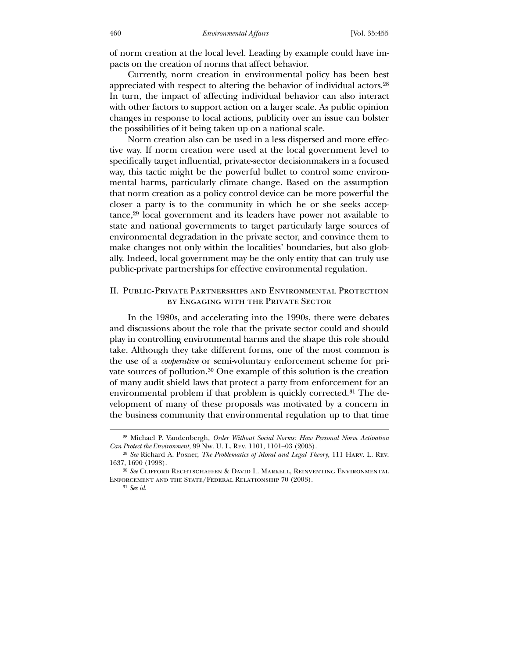of norm creation at the local level. Leading by example could have impacts on the creation of norms that affect behavior.

 Currently, norm creation in environmental policy has been best appreciated with respect to altering the behavior of individual actors.28 In turn, the impact of affecting individual behavior can also interact with other factors to support action on a larger scale. As public opinion changes in response to local actions, publicity over an issue can bolster the possibilities of it being taken up on a national scale.

 Norm creation also can be used in a less dispersed and more effective way. If norm creation were used at the local government level to specifically target influential, private-sector decisionmakers in a focused way, this tactic might be the powerful bullet to control some environmental harms, particularly climate change. Based on the assumption that norm creation as a policy control device can be more powerful the closer a party is to the community in which he or she seeks acceptance,29 local government and its leaders have power not available to state and national governments to target particularly large sources of environmental degradation in the private sector, and convince them to make changes not only within the localities' boundaries, but also globally. Indeed, local government may be the only entity that can truly use public-private partnerships for effective environmental regulation.

# II. Public-Private Partnerships and Environmental Protection by Engaging with the Private Sector

 In the 1980s, and accelerating into the 1990s, there were debates and discussions about the role that the private sector could and should play in controlling environmental harms and the shape this role should take. Although they take different forms, one of the most common is the use of a *cooperative* or semi-voluntary enforcement scheme for private sources of pollution.30 One example of this solution is the creation of many audit shield laws that protect a party from enforcement for an environmental problem if that problem is quickly corrected.31 The development of many of these proposals was motivated by a concern in the business community that environmental regulation up to that time

<sup>28</sup> Michael P. Vandenbergh, *Order Without Social Norms: How Personal Norm Activation Can Protect the Environment*, 99 Nw. U. L. Rev. 1101, 1101–03 (2005).

<sup>29</sup> *See* Richard A. Posner, *The Problematics of Moral and Legal Theory*, 111 Harv. L. Rev. 1637, 1690 (1998).

<sup>30</sup> *See* Clifford Rechtschaffen & David L. Markell, Reinventing Environmental Enforcement and the State/Federal Relationship 70 (2003).

<sup>31</sup> *See id*.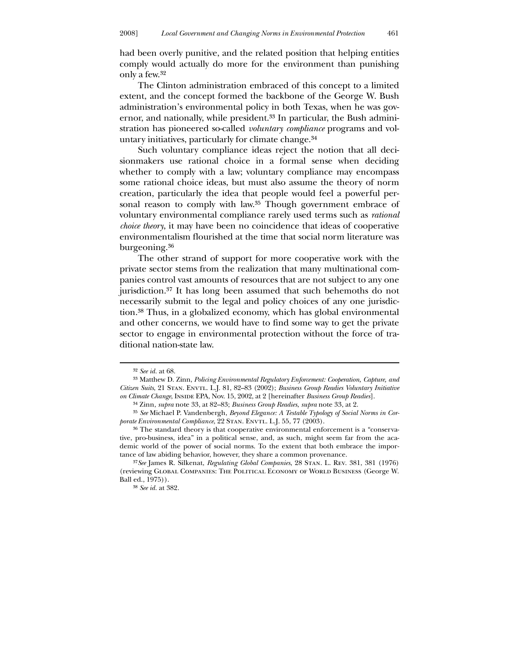had been overly punitive, and the related position that helping entities comply would actually do more for the environment than punishing only a few.32

 The Clinton administration embraced of this concept to a limited extent, and the concept formed the backbone of the George W. Bush administration's environmental policy in both Texas, when he was governor, and nationally, while president.33 In particular, the Bush administration has pioneered so-called *voluntary compliance* programs and voluntary initiatives, particularly for climate change.34

 Such voluntary compliance ideas reject the notion that all decisionmakers use rational choice in a formal sense when deciding whether to comply with a law; voluntary compliance may encompass some rational choice ideas, but must also assume the theory of norm creation, particularly the idea that people would feel a powerful personal reason to comply with law.<sup>35</sup> Though government embrace of voluntary environmental compliance rarely used terms such as *rational choice theory*, it may have been no coincidence that ideas of cooperative environmentalism flourished at the time that social norm literature was burgeoning.36

 The other strand of support for more cooperative work with the private sector stems from the realization that many multinational companies control vast amounts of resources that are not subject to any one jurisdiction.37 It has long been assumed that such behemoths do not necessarily submit to the legal and policy choices of any one jurisdiction.38 Thus, in a globalized economy, which has global environmental and other concerns, we would have to find some way to get the private sector to engage in environmental protection without the force of traditional nation-state law.

<sup>32</sup> *See id.* at 68.

<sup>33</sup> Matthew D. Zinn, *Policing Environmental Regulatory Enforcement: Cooperation, Capture, and Citizen Suits*, 21 Stan. Envtl. L.J. 81, 82–83 (2002); *Business Group Readies Voluntary Initiative*  on Climate Change, Inside EPA, Nov. 15, 2002, at 2 [hereinafter *Business Group Readies*].

<sup>34</sup> Zinn, *supra* note 33, at 82–83; *Business Group Readies*, *supra* note 33, at 2.

<sup>35</sup> *See* Michael P. Vandenbergh, *Beyond Elegance: A Testable Typology of Social Norms in Cor*porate Environmental Compliance, 22 STAN. ENVTL. L.J. 55, 77 (2003).

<sup>36</sup> The standard theory is that cooperative environmental enforcement is a "conservative, pro-business, idea" in a political sense, and, as such, might seem far from the academic world of the power of social norms. To the extent that both embrace the importance of law abiding behavior, however, they share a common provenance.

<sup>37</sup>*See* James R. Silkenat, *Regulating Global Companies*, 28 Stan. L. Rev. 381, 381 (1976) (reviewing Global Companies: The Political Economy of World Business (George W. Ball ed., 1975)).

<sup>38</sup> *See id.* at 382.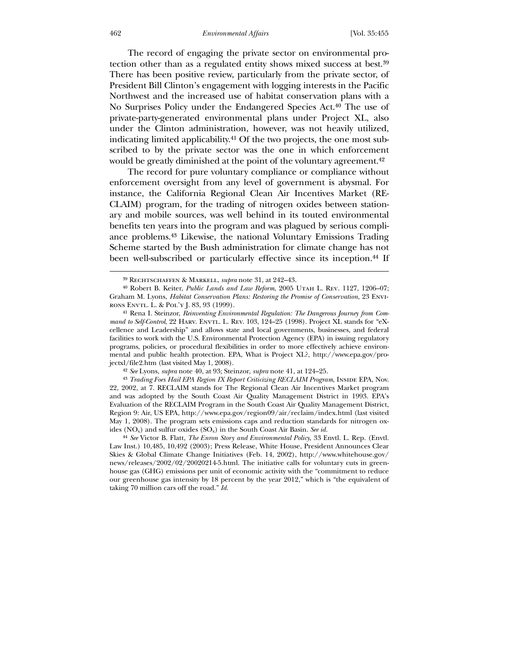#### 462 *Environmental Affairs* [Vol. 35:455

 The record of engaging the private sector on environmental protection other than as a regulated entity shows mixed success at best.39 There has been positive review, particularly from the private sector, of President Bill Clinton's engagement with logging interests in the Pacific Northwest and the increased use of habitat conservation plans with a No Surprises Policy under the Endangered Species Act.40 The use of private-party-generated environmental plans under Project XL, also under the Clinton administration, however, was not heavily utilized, indicating limited applicability.41 Of the two projects, the one most subscribed to by the private sector was the one in which enforcement would be greatly diminished at the point of the voluntary agreement.<sup>42</sup>

 The record for pure voluntary compliance or compliance without enforcement oversight from any level of government is abysmal. For instance, the California Regional Clean Air Incentives Market (RE-CLAIM) program, for the trading of nitrogen oxides between stationary and mobile sources, was well behind in its touted environmental benefits ten years into the program and was plagued by serious compliance problems.43 Likewise, the national Voluntary Emissions Trading Scheme started by the Bush administration for climate change has not been well-subscribed or particularly effective since its inception.44 If

42 *See* Lyons, *supra* note 40, at 93; Steinzor, *supra* note 41, at 124–25.

<sup>43</sup> *Trading Foes Hail EPA Region IX Report Criticizing RECLAIM Program*, INSIDE EPA, Nov. 22, 2002, at 7. RECLAIM stands for The Regional Clean Air Incentives Market program and was adopted by the South Coast Air Quality Management District in 1993. EPA's Evaluation of the RECLAIM Program in the South Coast Air Quality Management District, Region 9: Air, US EPA, http://www.epa.gov/region09/air/reclaim/index.html (last visited May 1, 2008). The program sets emissions caps and reduction standards for nitrogen oxides (NOx) and sulfur oxides (SOx) in the South Coast Air Basin. *See id.*

44 *See* Victor B. Flatt, *The Enron Story and Environmental Policy*, 33 Envtl. L. Rep. (Envtl. Law Inst.) 10,485, 10,492 (2003); Press Release, White House, President Announces Clear Skies & Global Climate Change Initiatives (Feb. 14, 2002), http://www.whitehouse.gov/ news/releases/2002/02/20020214-5.html. The initiative calls for voluntary cuts in greenhouse gas (GHG) emissions per unit of economic activity with the "commitment to reduce our greenhouse gas intensity by 18 percent by the year 2012," which is "the equivalent of taking 70 million cars off the road." *Id.*

<sup>39</sup> Rechtschaffen & Markell, *supra* note 31, at 242–43.

<sup>40</sup> Robert B. Keiter, *Public Lands and Law Reform*, 2005 Utah L. Rev. 1127, 1206–07; Graham M. Lyons, *Habitat Conservation Plans: Restoring the Promise of Conservation*, 23 Environs Envtl. L. & Pol'y J. 83, 93 (1999).

<sup>41</sup> Rena I. Steinzor, *Reinventing Environmental Regulation: The Dangerous Journey from Command to Self-Control*, 22 HARV. ENVTL. L. REV. 103, 124–25 (1998). Project XL stands for "eXcellence and Leadership" and allows state and local governments, businesses, and federal facilities to work with the U.S. Environmental Protection Agency (EPA) in issuing regulatory programs, policies, or procedural flexibilities in order to more effectively achieve environmental and public health protection. EPA, What is Project XL?, http://www.epa.gov/projectxl/file2.htm (last visited May 1, 2008).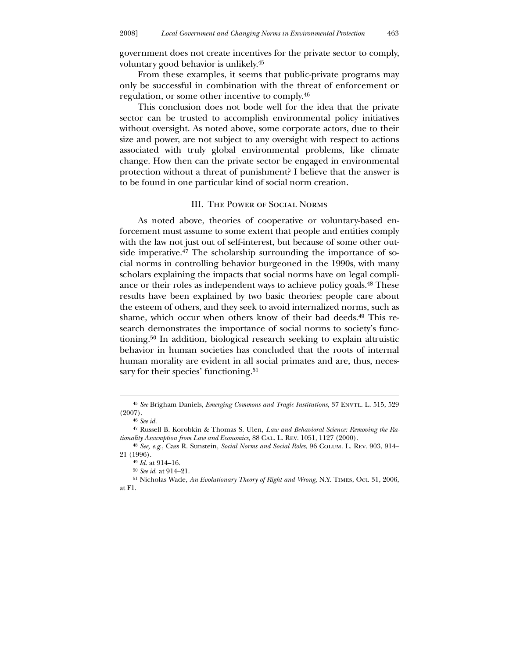government does not create incentives for the private sector to comply, voluntary good behavior is unlikely.45

 From these examples, it seems that public-private programs may only be successful in combination with the threat of enforcement or regulation, or some other incentive to comply.46

 This conclusion does not bode well for the idea that the private sector can be trusted to accomplish environmental policy initiatives without oversight. As noted above, some corporate actors, due to their size and power, are not subject to any oversight with respect to actions associated with truly global environmental problems, like climate change. How then can the private sector be engaged in environmental protection without a threat of punishment? I believe that the answer is to be found in one particular kind of social norm creation.

#### III. The Power of Social Norms

 As noted above, theories of cooperative or voluntary-based enforcement must assume to some extent that people and entities comply with the law not just out of self-interest, but because of some other outside imperative.<sup>47</sup> The scholarship surrounding the importance of social norms in controlling behavior burgeoned in the 1990s, with many scholars explaining the impacts that social norms have on legal compliance or their roles as independent ways to achieve policy goals.48 These results have been explained by two basic theories: people care about the esteem of others, and they seek to avoid internalized norms, such as shame, which occur when others know of their bad deeds.49 This research demonstrates the importance of social norms to society's functioning.50 In addition, biological research seeking to explain altruistic behavior in human societies has concluded that the roots of internal human morality are evident in all social primates and are, thus, necessary for their species' functioning.<sup>51</sup>

<sup>&</sup>lt;sup>45</sup> See Brigham Daniels, *Emerging Commons and Tragic Institutions*, 37 ENVTL. L. 515, 529 (2007).

<sup>46</sup> *See id.*

<sup>47</sup> Russell B. Korobkin & Thomas S. Ulen, *Law and Behavioral Science: Removing the Rationality Assumption from Law and Economics*, 88 Cal. L. Rev. 1051, 1127 (2000).

<sup>48</sup> *See, e.g.*, Cass R. Sunstein, *Social Norms and Social Roles*, 96 Colum. L. Rev. 903, 914– 21 (1996).

<sup>49</sup> *Id.* at 914–16.

<sup>50</sup> *See id*. at 914–21.

<sup>51</sup> Nicholas Wade, *An Evolutionary Theory of Right and Wrong*, N.Y. Times, Oct. 31, 2006, at F1.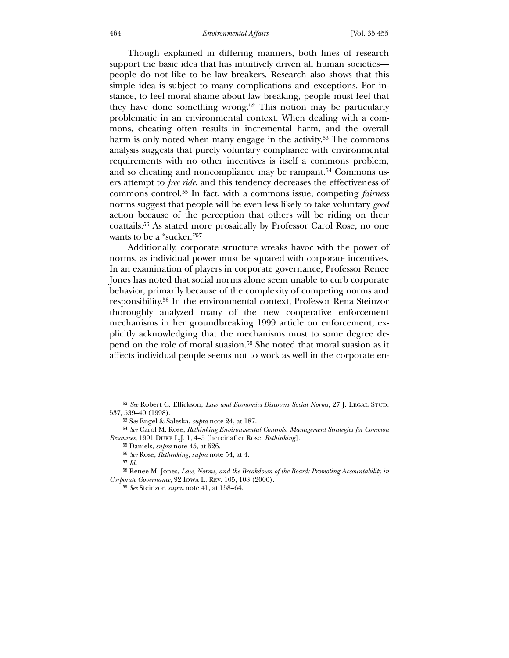Though explained in differing manners, both lines of research support the basic idea that has intuitively driven all human societies people do not like to be law breakers. Research also shows that this simple idea is subject to many complications and exceptions. For instance, to feel moral shame about law breaking, people must feel that they have done something wrong.52 This notion may be particularly problematic in an environmental context. When dealing with a commons, cheating often results in incremental harm, and the overall harm is only noted when many engage in the activity.<sup>53</sup> The commons analysis suggests that purely voluntary compliance with environmental requirements with no other incentives is itself a commons problem, and so cheating and noncompliance may be rampant.<sup>54</sup> Commons users attempt to *free ride*, and this tendency decreases the effectiveness of commons control.55 In fact, with a commons issue, competing *fairness* norms suggest that people will be even less likely to take voluntary *good* action because of the perception that others will be riding on their coattails.56 As stated more prosaically by Professor Carol Rose, no one wants to be a "sucker."57

 Additionally, corporate structure wreaks havoc with the power of norms, as individual power must be squared with corporate incentives. In an examination of players in corporate governance, Professor Renee Jones has noted that social norms alone seem unable to curb corporate behavior, primarily because of the complexity of competing norms and responsibility.58 In the environmental context, Professor Rena Steinzor thoroughly analyzed many of the new cooperative enforcement mechanisms in her groundbreaking 1999 article on enforcement, explicitly acknowledging that the mechanisms must to some degree depend on the role of moral suasion.59 She noted that moral suasion as it affects individual people seems not to work as well in the corporate en-

<sup>&</sup>lt;sup>52</sup> See Robert C. Ellickson, *Law and Economics Discovers Social Norms*, 27 J. LEGAL STUD. 537, 539–40 (1998).

<sup>53</sup> S*ee* Engel & Saleska, *supra* note 24, at 187.

<sup>54</sup> *See* Carol M. Rose, *Rethinking Environmental Controls: Management Strategies for Common Resources*, 1991 Duke L.J. 1, 4–5 [hereinafter Rose, *Rethinking*].

<sup>55</sup> Daniels, *supra* note 45, at 526.

<sup>56</sup> *See* Rose, *Rethinking*, *supra* note 54, at 4.

<sup>57</sup> *Id.*

<sup>58</sup> Renee M. Jones, *Law, Norms, and the Breakdown of the Board: Promoting Accountability in Corporate Governance*, 92 Iowa L. Rev. 105, 108 (2006).

<sup>59</sup> *See* Steinzor, *supra* note 41, at 158–64.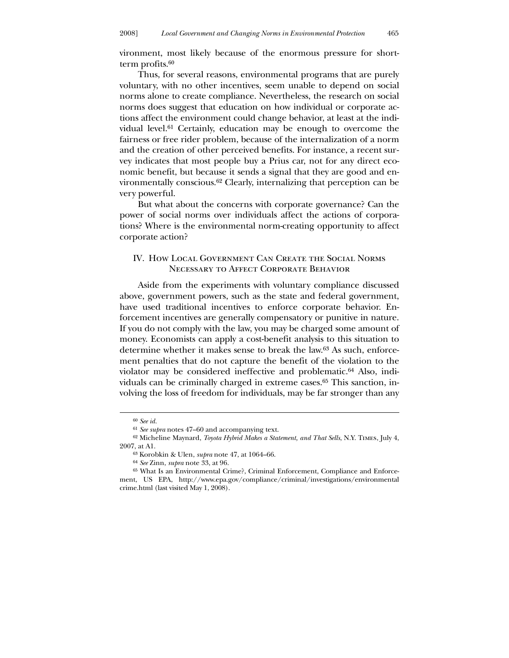vironment, most likely because of the enormous pressure for shortterm profits.<sup>60</sup>

 Thus, for several reasons, environmental programs that are purely voluntary, with no other incentives, seem unable to depend on social norms alone to create compliance. Nevertheless, the research on social norms does suggest that education on how individual or corporate actions affect the environment could change behavior, at least at the individual level.<sup>61</sup> Certainly, education may be enough to overcome the fairness or free rider problem, because of the internalization of a norm and the creation of other perceived benefits. For instance, a recent survey indicates that most people buy a Prius car, not for any direct economic benefit, but because it sends a signal that they are good and environmentally conscious.62 Clearly, internalizing that perception can be very powerful.

 But what about the concerns with corporate governance? Can the power of social norms over individuals affect the actions of corporations? Where is the environmental norm-creating opportunity to affect corporate action?

# IV. How Local Government Can Create the Social Norms NECESSARY TO AFFECT CORPORATE BEHAVIOR

 Aside from the experiments with voluntary compliance discussed above, government powers, such as the state and federal government, have used traditional incentives to enforce corporate behavior. Enforcement incentives are generally compensatory or punitive in nature. If you do not comply with the law, you may be charged some amount of money. Economists can apply a cost-benefit analysis to this situation to determine whether it makes sense to break the law.63 As such, enforcement penalties that do not capture the benefit of the violation to the violator may be considered ineffective and problematic.64 Also, individuals can be criminally charged in extreme cases.65 This sanction, involving the loss of freedom for individuals, may be far stronger than any

<sup>60</sup> *See id.*

<sup>61</sup> *See supra* notes 47–60 and accompanying text.

<sup>62</sup> Micheline Maynard, *Toyota Hybrid Makes a Statement, and That Sells*, N.Y. Times, July 4, 2007, at A1.

<sup>63</sup> Korobkin & Ulen, *supra* note 47, at 1064–66.

<sup>64</sup> *See* Zinn, *supra* note 33, at 96.

<sup>65</sup> What Is an Environmental Crime?, Criminal Enforcement, Compliance and Enforcement, US EPA, http://www.epa.gov/compliance/criminal/investigations/environmental crime.html (last visited May 1, 2008).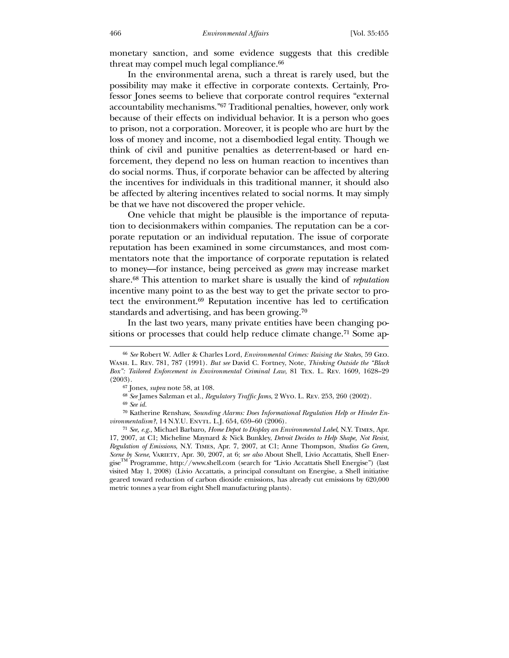monetary sanction, and some evidence suggests that this credible threat may compel much legal compliance.<sup>66</sup>

 In the environmental arena, such a threat is rarely used, but the possibility may make it effective in corporate contexts. Certainly, Professor Jones seems to believe that corporate control requires "external accountability mechanisms."67 Traditional penalties, however, only work because of their effects on individual behavior. It is a person who goes to prison, not a corporation. Moreover, it is people who are hurt by the loss of money and income, not a disembodied legal entity. Though we think of civil and punitive penalties as deterrent-based or hard enforcement, they depend no less on human reaction to incentives than do social norms. Thus, if corporate behavior can be affected by altering the incentives for individuals in this traditional manner, it should also be affected by altering incentives related to social norms. It may simply be that we have not discovered the proper vehicle.

 One vehicle that might be plausible is the importance of reputation to decisionmakers within companies. The reputation can be a corporate reputation or an individual reputation. The issue of corporate reputation has been examined in some circumstances, and most commentators note that the importance of corporate reputation is related to money—for instance, being perceived as *green* may increase market share.68 This attention to market share is usually the kind of *reputation* incentive many point to as the best way to get the private sector to protect the environment.69 Reputation incentive has led to certification standards and advertising, and has been growing.70

 In the last two years, many private entities have been changing positions or processes that could help reduce climate change.<sup>71</sup> Some ap-

<sup>66</sup> *See* Robert W. Adler & Charles Lord, *Environmental Crimes: Raising the Stakes*, 59 Geo. Wash. L. Rev. 781, 787 (1991). *But see* David C. Fortney, Note, *Thinking Outside the "Black Box": Tailored Enforcement in Environmental Criminal Law*, 81 Tex. L. Rev. 1609, 1628–29 (2003).

<sup>67</sup> Jones, *supra* note 58, at 108.

<sup>68</sup> *See* James Salzman et al., *Regulatory Traffic Jams*, 2 Wyo. L. Rev. 253, 260 (2002).

<sup>69</sup> *See id.*

<sup>70</sup> Katherine Renshaw, *Sounding Alarms: Does Informational Regulation Help or Hinder Environmentalism?*, 14 N.Y.U. ENVTL. L.J. 654, 659-60 (2006).

<sup>71</sup> *See, e.g.*, Michael Barbaro, *Home Depot to Display an Environmental Label*, N.Y. Times, Apr. 17, 2007, at C1; Micheline Maynard & Nick Bunkley, *Detroit Decides to Help Shape, Not Resist, Regulation of Emissions*, N.Y. Times, Apr. 7, 2007, at C1; Anne Thompson, *Studios Go Green, Scene by Scene*, Variety, Apr. 30, 2007, at 6; *see also* About Shell, Livio Accattatis, Shell EnergiseTM Programme, http://www.shell.com (search for "Livio Accattatis Shell Energise") (last visited May 1, 2008) (Livio Accattatis, a principal consultant on Energise, a Shell initiative geared toward reduction of carbon dioxide emissions, has already cut emissions by 620,000 metric tonnes a year from eight Shell manufacturing plants).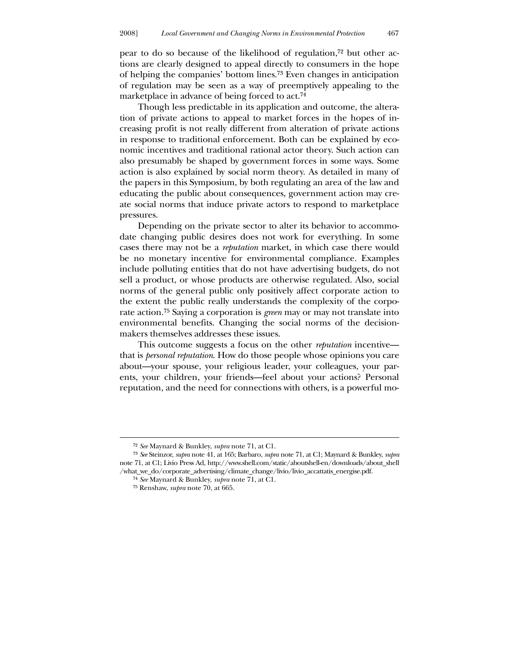pear to do so because of the likelihood of regulation,72 but other actions are clearly designed to appeal directly to consumers in the hope of helping the companies' bottom lines.73 Even changes in anticipation of regulation may be seen as a way of preemptively appealing to the marketplace in advance of being forced to act.<sup>74</sup>

 Though less predictable in its application and outcome, the alteration of private actions to appeal to market forces in the hopes of increasing profit is not really different from alteration of private actions in response to traditional enforcement. Both can be explained by economic incentives and traditional rational actor theory. Such action can also presumably be shaped by government forces in some ways. Some action is also explained by social norm theory. As detailed in many of the papers in this Symposium, by both regulating an area of the law and educating the public about consequences, government action may create social norms that induce private actors to respond to marketplace pressures.

 Depending on the private sector to alter its behavior to accommodate changing public desires does not work for everything. In some cases there may not be a *reputation* market, in which case there would be no monetary incentive for environmental compliance. Examples include polluting entities that do not have advertising budgets, do not sell a product, or whose products are otherwise regulated. Also, social norms of the general public only positively affect corporate action to the extent the public really understands the complexity of the corporate action.75 Saying a corporation is *green* may or may not translate into environmental benefits. Changing the social norms of the decisionmakers themselves addresses these issues.

 This outcome suggests a focus on the other *reputation* incentive that is *personal reputation*. How do those people whose opinions you care about—your spouse, your religious leader, your colleagues, your parents, your children, your friends—feel about your actions? Personal reputation, and the need for connections with others, is a powerful mo-

<sup>72</sup> *See* Maynard & Bunkley, *supra* note 71, at C1.

<sup>73</sup> *See* Steinzor, *supra* note 41, at 165; Barbaro, *supra* note 71, at C1; Maynard & Bunkley, *supra* note 71, at C1; Livio Press Ad, http://www.shell.com/static/aboutshell-en/downloads/about\_shell /what\_we\_do/corporate\_advertising/climate\_change/livio/livio\_accattatis\_energise.pdf.

<sup>74</sup> *See* Maynard & Bunkley, *supra* note 71, at C1.

<sup>75</sup> Renshaw, *supra* note 70, at 665.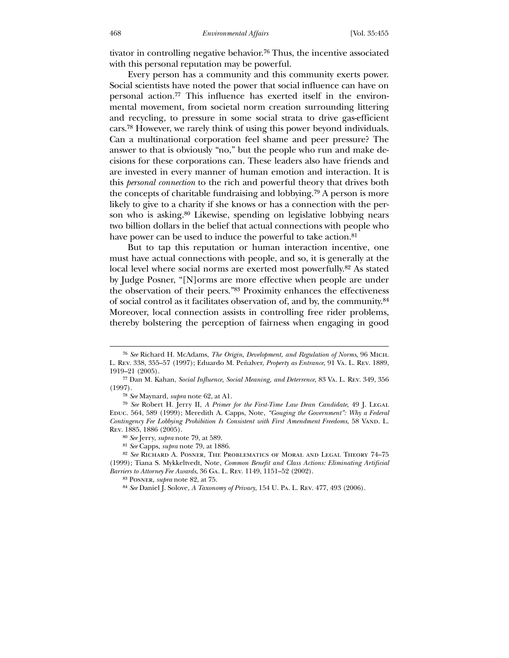tivator in controlling negative behavior.76 Thus, the incentive associated with this personal reputation may be powerful.

 Every person has a community and this community exerts power. Social scientists have noted the power that social influence can have on personal action.77 This influence has exerted itself in the environmental movement, from societal norm creation surrounding littering and recycling, to pressure in some social strata to drive gas-efficient cars.78 However, we rarely think of using this power beyond individuals. Can a multinational corporation feel shame and peer pressure? The answer to that is obviously "no," but the people who run and make decisions for these corporations can. These leaders also have friends and are invested in every manner of human emotion and interaction. It is this *personal connection* to the rich and powerful theory that drives both the concepts of charitable fundraising and lobbying.79 A person is more likely to give to a charity if she knows or has a connection with the person who is asking.80 Likewise, spending on legislative lobbying nears two billion dollars in the belief that actual connections with people who have power can be used to induce the powerful to take action.<sup>81</sup>

 But to tap this reputation or human interaction incentive, one must have actual connections with people, and so, it is generally at the local level where social norms are exerted most powerfully.<sup>82</sup> As stated by Judge Posner, "[N]orms are more effective when people are under the observation of their peers."83 Proximity enhances the effectiveness of social control as it facilitates observation of, and by, the community.84 Moreover, local connection assists in controlling free rider problems, thereby bolstering the perception of fairness when engaging in good

<sup>76</sup> *See* Richard H. McAdams, *The Origin, Development, and Regulation of Norms*, 96 Mich. L. Rev. 338, 355–57 (1997); Eduardo M. Peñalver, *Property as Entrance*, 91 Va. L. Rev. 1889, 1919–21 (2005).

<sup>77</sup> Dan M. Kahan, *Social Influence, Social Meaning, and Deterrence*, 83 Va. L. Rev. 349, 356 (1997).

<sup>78</sup> *See* Maynard, *supra* note 62, at A1.

<sup>79</sup> *See* Robert H. Jerry II, *A Primer for the First-Time Law Dean Candidate*, 49 J. Legal Educ. 564, 589 (1999); Meredith A. Capps, Note, *"Gouging the Government": Why a Federal Contingency Fee Lobbying Prohibition Is Consistent with First Amendment Freedoms*, 58 VAND. L. Rev. 1885, 1886 (2005).

<sup>80</sup> *See* Jerry, *supra* note 79, at 589.

<sup>81</sup> *See* Capps, *supra* note 79, at 1886.

<sup>82</sup> *See* Richard A. Posner, The Problematics of Moral and Legal Theory 74–75 (1999); Tiana S. Mykkeltvedt, Note, *Common Benefit and Class Actions: Eliminating Artificial Barriers to Attorney Fee Awards*, 36 Ga. L. Rev. 1149, 1151–52 (2002).

<sup>83</sup> Posner, *supra* note 82, at 75.

<sup>84</sup> *See* Daniel J. Solove, *A Taxonomy of Privacy*, 154 U. Pa. L. Rev. 477, 493 (2006).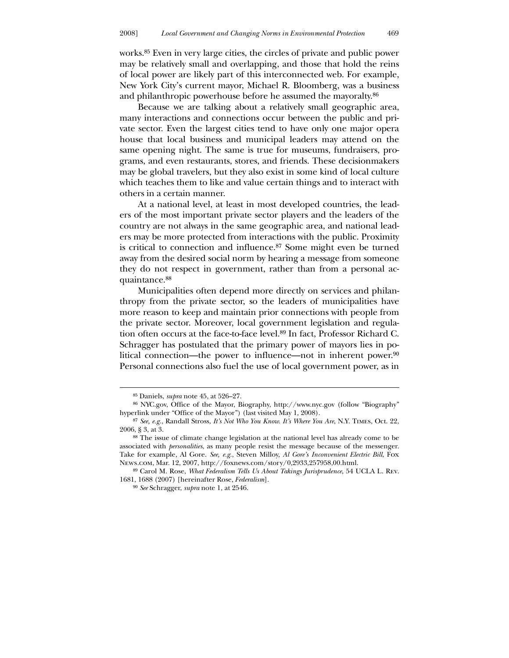works.85 Even in very large cities, the circles of private and public power may be relatively small and overlapping, and those that hold the reins of local power are likely part of this interconnected web. For example, New York City's current mayor, Michael R. Bloomberg, was a business and philanthropic powerhouse before he assumed the mayoralty.86

 Because we are talking about a relatively small geographic area, many interactions and connections occur between the public and private sector. Even the largest cities tend to have only one major opera house that local business and municipal leaders may attend on the same opening night. The same is true for museums, fundraisers, programs, and even restaurants, stores, and friends. These decisionmakers may be global travelers, but they also exist in some kind of local culture which teaches them to like and value certain things and to interact with others in a certain manner.

 At a national level, at least in most developed countries, the leaders of the most important private sector players and the leaders of the country are not always in the same geographic area, and national leaders may be more protected from interactions with the public. Proximity is critical to connection and influence.87 Some might even be turned away from the desired social norm by hearing a message from someone they do not respect in government, rather than from a personal acquaintance.88

 Municipalities often depend more directly on services and philanthropy from the private sector, so the leaders of municipalities have more reason to keep and maintain prior connections with people from the private sector. Moreover, local government legislation and regulation often occurs at the face-to-face level.89 In fact, Professor Richard C. Schragger has postulated that the primary power of mayors lies in political connection—the power to influence—not in inherent power.90 Personal connections also fuel the use of local government power, as in

<sup>85</sup> Daniels, *supra* note 45, at 526–27.

<sup>86</sup> NYC.gov, Office of the Mayor, Biography, http://www.nyc.gov (follow "Biography" hyperlink under "Office of the Mayor") (last visited May 1, 2008).

<sup>87</sup> *See, e.g.*, Randall Stross, *It's Not Who You Know. It's Where You Are*, N.Y. Times, Oct. 22, 2006, § 3, at 3.

<sup>88</sup> The issue of climate change legislation at the national level has already come to be associated with *personalities*, as many people resist the message because of the messenger. Take for example, Al Gore. *See, e.g.*, Steven Milloy, *Al Gore's Inconvenient Electric Bill*, Fox News.com, Mar. 12, 2007, http://foxnews.com/story/0,2933,257958,00.html.

<sup>89</sup> Carol M. Rose, *What Federalism Tells Us About Takings Jurisprudence*, 54 UCLA L. Rev. 1681, 1688 (2007) [hereinafter Rose, *Federalism*].

<sup>90</sup> *See* Schragger, *supra* note 1, at 2546.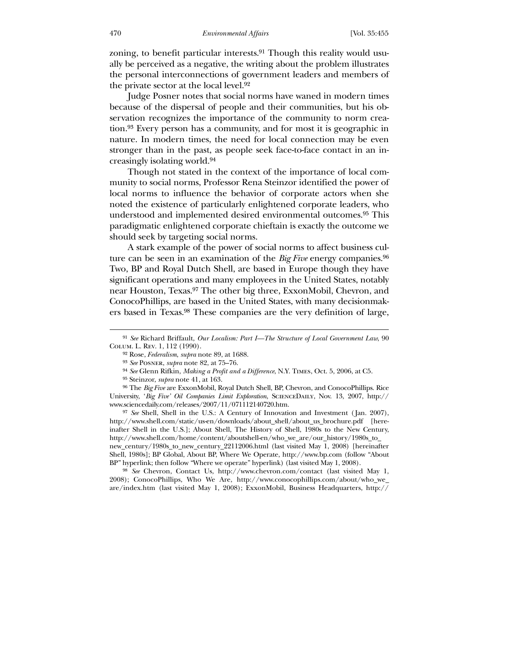zoning, to benefit particular interests.<sup>91</sup> Though this reality would usually be perceived as a negative, the writing about the problem illustrates the personal interconnections of government leaders and members of the private sector at the local level.92

 Judge Posner notes that social norms have waned in modern times because of the dispersal of people and their communities, but his observation recognizes the importance of the community to norm creation.93 Every person has a community, and for most it is geographic in nature. In modern times, the need for local connection may be even stronger than in the past, as people seek face-to-face contact in an increasingly isolating world.94

 Though not stated in the context of the importance of local community to social norms, Professor Rena Steinzor identified the power of local norms to influence the behavior of corporate actors when she noted the existence of particularly enlightened corporate leaders, who understood and implemented desired environmental outcomes.95 This paradigmatic enlightened corporate chieftain is exactly the outcome we should seek by targeting social norms.

 A stark example of the power of social norms to affect business culture can be seen in an examination of the *Big Five* energy companies.96 Two, BP and Royal Dutch Shell, are based in Europe though they have significant operations and many employees in the United States, notably near Houston, Texas.97 The other big three, ExxonMobil, Chevron, and ConocoPhillips, are based in the United States, with many decisionmakers based in Texas.98 These companies are the very definition of large,

<sup>97</sup> *See* Shell, Shell in the U.S.: A Century of Innovation and Investment (Jan. 2007), http://www.shell.com/static/us-en/downloads/about\_shell/about\_us\_brochure.pdf [hereinafter Shell in the U.S.]; About Shell, The History of Shell, 1980s to the New Century, http://www.shell.com/home/content/aboutshell-en/who\_we\_are/our\_history/1980s\_to\_ new\_century/1980s\_to\_new\_century\_22112006.html (last visited May 1, 2008) [hereinafter Shell, 1980s]; BP Global, About BP, Where We Operate, http://www.bp.com (follow "About BP" hyperlink; then follow "Where we operate" hyperlink) (last visited May 1, 2008).

98 *See* Chevron, Contact Us, http://www.chevron.com/contact (last visited May 1, 2008); ConocoPhillips, Who We Are, http://www.conocophillips.com/about/who\_we\_ are/index.htm (last visited May 1, 2008); ExxonMobil, Business Headquarters, http://

<sup>91</sup> *See* Richard Briffault, *Our Localism: Part I—The Structure of Local Government Law*, 90 Colum. L. Rev. 1, 112 (1990).

<sup>92</sup> Rose, *Federalism*, *supra* note 89, at 1688.

<sup>93</sup> *See* Posner, *supra* note 82, at 75–76.

<sup>94</sup> *See* Glenn Rifkin, *Making a Profit and a Difference*, N.Y. Times, Oct. 5, 2006, at C5.

<sup>95</sup> Steinzor, *supra* note 41, at 163.

<sup>96</sup> The *Big Five* are ExxonMobil, Royal Dutch Shell, BP, Chevron, and ConocoPhillips. Rice University, '*Big Five' Oil Companies Limit Exploration*, ScienceDaily, Nov. 13, 2007, http:// www.sciencedaily.com/releases/2007/11/071112140720.htm.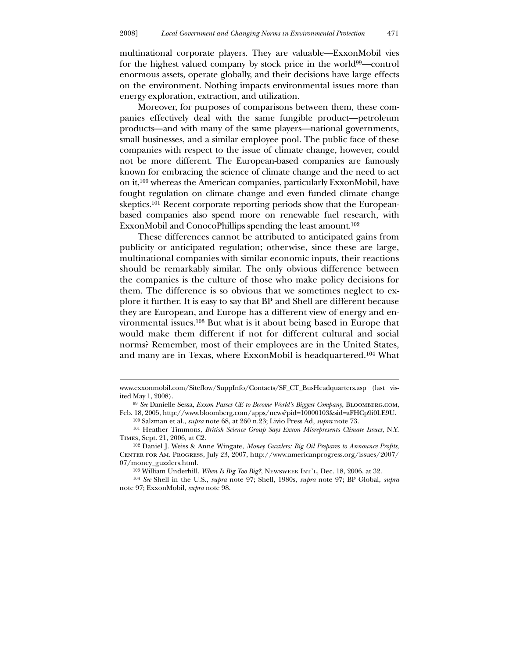multinational corporate players. They are valuable—ExxonMobil vies for the highest valued company by stock price in the world99—control enormous assets, operate globally, and their decisions have large effects on the environment. Nothing impacts environmental issues more than energy exploration, extraction, and utilization.

 Moreover, for purposes of comparisons between them, these companies effectively deal with the same fungible product—petroleum products—and with many of the same players—national governments, small businesses, and a similar employee pool. The public face of these companies with respect to the issue of climate change, however, could not be more different. The European-based companies are famously known for embracing the science of climate change and the need to act on it,100 whereas the American companies, particularly ExxonMobil, have fought regulation on climate change and even funded climate change skeptics.101 Recent corporate reporting periods show that the Europeanbased companies also spend more on renewable fuel research, with ExxonMobil and ConocoPhillips spending the least amount.<sup>102</sup>

 These differences cannot be attributed to anticipated gains from publicity or anticipated regulation; otherwise, since these are large, multinational companies with similar economic inputs, their reactions should be remarkably similar. The only obvious difference between the companies is the culture of those who make policy decisions for them. The difference is so obvious that we sometimes neglect to explore it further. It is easy to say that BP and Shell are different because they are European, and Europe has a different view of energy and environmental issues.103 But what is it about being based in Europe that would make them different if not for different cultural and social norms? Remember, most of their employees are in the United States, and many are in Texas, where ExxonMobil is headquartered.104 What

www.exxonmobil.com/Siteflow/SuppInfo/Contacts/SF\_CT\_BusHeadquarters.asp (last visited May 1, 2008).

<sup>99</sup> *See* Danielle Sessa, *Exxon Passes GE to Become World's Biggest Company*, Bloomberg.com, Feb. 18, 2005, http://www.bloomberg.com/apps/news?pid=10000103&sid=aFHCp9i0LE9U. 100 Salzman et al., *supra* note 68, at 260 n.23; Livio Press Ad, *supra* note 73.

<sup>101</sup> Heather Timmons, *British Science Group Says Exxon Misrepresents Climate Issues*, N.Y. Times, Sept. 21, 2006, at C2.

<sup>102</sup> Daniel J. Weiss & Anne Wingate, *Money Guzzlers: Big Oil Prepares to Announce Profits*, Center for Am. Progress, July 23, 2007, http://www.americanprogress.org/issues/2007/ 07/money\_guzzlers.html.

<sup>103</sup> William Underhill, *When Is Big Too Big?*, Newsweek Int'l, Dec. 18, 2006, at 32.

<sup>104</sup> *See* Shell in the U.S., *supra* note 97; Shell, 1980s, *supra* note 97; BP Global, *supra* note 97; ExxonMobil, *supra* note 98.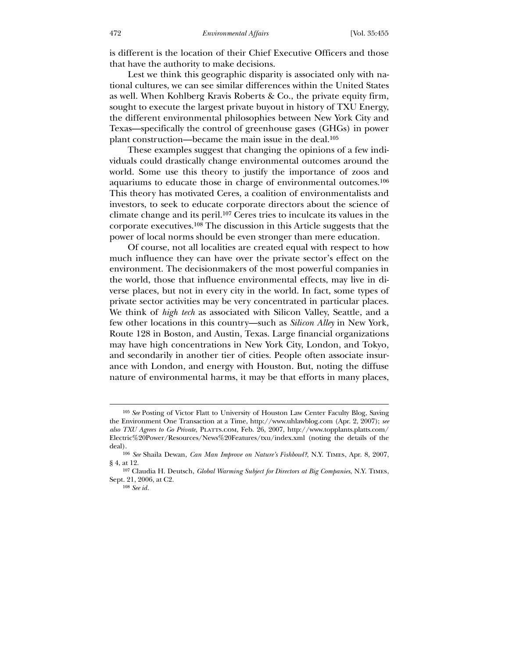is different is the location of their Chief Executive Officers and those that have the authority to make decisions.

 Lest we think this geographic disparity is associated only with national cultures, we can see similar differences within the United States as well. When Kohlberg Kravis Roberts & Co., the private equity firm, sought to execute the largest private buyout in history of TXU Energy, the different environmental philosophies between New York City and Texas—specifically the control of greenhouse gases (GHGs) in power plant construction—became the main issue in the deal.105

 These examples suggest that changing the opinions of a few individuals could drastically change environmental outcomes around the world. Some use this theory to justify the importance of zoos and aquariums to educate those in charge of environmental outcomes.106 This theory has motivated Ceres, a coalition of environmentalists and investors, to seek to educate corporate directors about the science of climate change and its peril.107 Ceres tries to inculcate its values in the corporate executives.108 The discussion in this Article suggests that the power of local norms should be even stronger than mere education.

 Of course, not all localities are created equal with respect to how much influence they can have over the private sector's effect on the environment. The decisionmakers of the most powerful companies in the world, those that influence environmental effects, may live in diverse places, but not in every city in the world. In fact, some types of private sector activities may be very concentrated in particular places. We think of *high tech* as associated with Silicon Valley, Seattle, and a few other locations in this country—such as *Silicon Alley* in New York, Route 128 in Boston, and Austin, Texas. Large financial organizations may have high concentrations in New York City, London, and Tokyo, and secondarily in another tier of cities. People often associate insurance with London, and energy with Houston. But, noting the diffuse nature of environmental harms, it may be that efforts in many places,

108 *See id.*

<sup>105</sup> *See* Posting of Victor Flatt to University of Houston Law Center Faculty Blog, Saving the Environment One Transaction at a Time, http://www.uhlawblog.com (Apr. 2, 2007); *see also TXU Agrees to Go Private*, Platts.com, Feb. 26, 2007, http://www.topplants.platts.com/ Electric%20Power/Resources/News%20Features/txu/index.xml (noting the details of the deal).

<sup>106</sup> *See* Shaila Dewan, *Can Man Improve on Nature's Fishbowl?*, N.Y. Times, Apr. 8, 2007, § 4, at 12.

<sup>107</sup> Claudia H. Deutsch, *Global Warming Subject for Directors at Big Companies*, N.Y. Times, Sept. 21, 2006, at C2.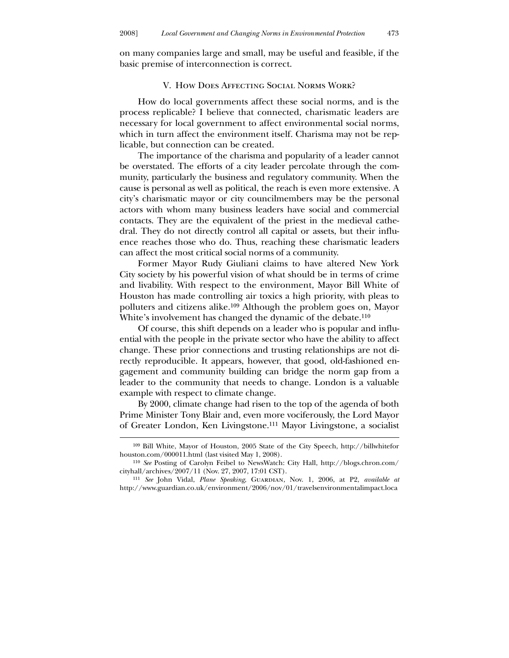on many companies large and small, may be useful and feasible, if the basic premise of interconnection is correct.

### V. How Does Affecting Social Norms Work?

 How do local governments affect these social norms, and is the process replicable? I believe that connected, charismatic leaders are necessary for local government to affect environmental social norms, which in turn affect the environment itself. Charisma may not be replicable, but connection can be created.

 The importance of the charisma and popularity of a leader cannot be overstated. The efforts of a city leader percolate through the community, particularly the business and regulatory community. When the cause is personal as well as political, the reach is even more extensive. A city's charismatic mayor or city councilmembers may be the personal actors with whom many business leaders have social and commercial contacts. They are the equivalent of the priest in the medieval cathedral. They do not directly control all capital or assets, but their influence reaches those who do. Thus, reaching these charismatic leaders can affect the most critical social norms of a community.

 Former Mayor Rudy Giuliani claims to have altered New York City society by his powerful vision of what should be in terms of crime and livability. With respect to the environment, Mayor Bill White of Houston has made controlling air toxics a high priority, with pleas to polluters and citizens alike.109 Although the problem goes on, Mayor White's involvement has changed the dynamic of the debate.<sup>110</sup>

 Of course, this shift depends on a leader who is popular and influential with the people in the private sector who have the ability to affect change. These prior connections and trusting relationships are not directly reproducible. It appears, however, that good, old-fashioned engagement and community building can bridge the norm gap from a leader to the community that needs to change. London is a valuable example with respect to climate change.

 By 2000, climate change had risen to the top of the agenda of both Prime Minister Tony Blair and, even more vociferously, the Lord Mayor of Greater London, Ken Livingstone.111 Mayor Livingstone, a socialist

<sup>109</sup> Bill White, Mayor of Houston, 2005 State of the City Speech, http://billwhitefor houston.com/000011.html (last visited May 1, 2008).

<sup>110</sup> *See* Posting of Carolyn Feibel to NewsWatch: City Hall, http://blogs.chron.com/ cityhall/archives/2007/11 (Nov. 27, 2007, 17:01 CST).

<sup>111</sup> *See* John Vidal, *Plane Speaking*, Guardian, Nov. 1, 2006, at P2, *available at* http://www.guardian.co.uk/environment/2006/nov/01/travelsenvironmentalimpact.loca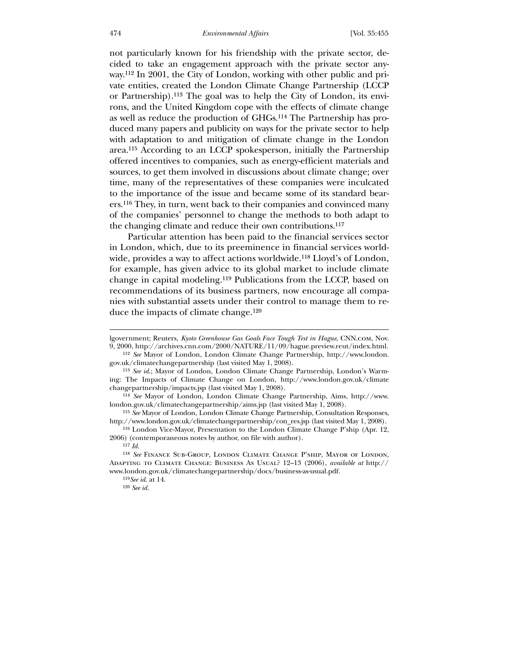not particularly known for his friendship with the private sector, decided to take an engagement approach with the private sector anyway.112 In 2001, the City of London, working with other public and private entities, created the London Climate Change Partnership (LCCP or Partnership).113 The goal was to help the City of London, its environs, and the United Kingdom cope with the effects of climate change as well as reduce the production of GHGs.114 The Partnership has produced many papers and publicity on ways for the private sector to help with adaptation to and mitigation of climate change in the London area.115 According to an LCCP spokesperson, initially the Partnership offered incentives to companies, such as energy-efficient materials and sources, to get them involved in discussions about climate change; over time, many of the representatives of these companies were inculcated to the importance of the issue and became some of its standard bearers.116 They, in turn, went back to their companies and convinced many of the companies' personnel to change the methods to both adapt to the changing climate and reduce their own contributions.117

 Particular attention has been paid to the financial services sector in London, which, due to its preeminence in financial services worldwide, provides a way to affect actions worldwide.<sup>118</sup> Lloyd's of London, for example, has given advice to its global market to include climate change in capital modeling.119 Publications from the LCCP, based on recommendations of its business partners, now encourage all companies with substantial assets under their control to manage them to reduce the impacts of climate change.120

lgovernment; Reuters, *Kyoto Greenhouse Gas Goals Face Tough Test in Hague*, CNN.com, Nov. 9, 2000, http://archives.cnn.com/2000/NATURE/11/09/hague.preview.reut/index.html.

<sup>112</sup> *See* Mayor of London, London Climate Change Partnership, http://www.london. gov.uk/climatechangepartnership (last visited May 1, 2008).

<sup>113</sup> *See id*.; Mayor of London, London Climate Change Partnership, London's Warming: The Impacts of Climate Change on London, http://www.london.gov.uk/climate changepartnership/impacts.jsp (last visited May 1, 2008).

<sup>114</sup> *See* Mayor of London, London Climate Change Partnership, Aims, http://www. london.gov.uk/climatechangepartnership/aims.jsp (last visited May 1, 2008).

<sup>115</sup> *See* Mayor of London, London Climate Change Partnership, Consultation Responses, http://www.london.gov.uk/climatechangepartnership/con\_res.jsp (last visited May 1, 2008).

<sup>116</sup> London Vice-Mayor, Presentation to the London Climate Change P'ship (Apr. 12, 2006) (contemporaneous notes by author, on file with author).

<sup>117</sup> *Id.*

<sup>118</sup> *See* Finance Sub-Group, London Climate Change P'ship, Mayor of London, Adapting to Climate Change: Business As Usual? 12–13 (2006), *available at* http:// www.london.gov.uk/climatechangepartnership/docs/business-as-usual.pdf.

<sup>119</sup>*See id*. at 14.

<sup>120</sup> *See id.*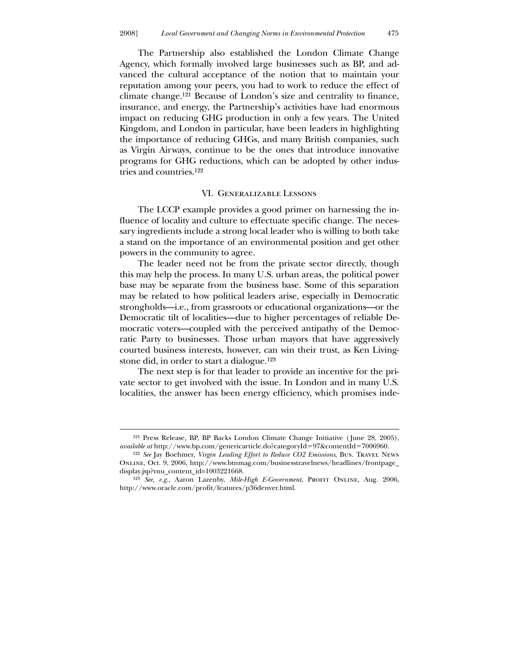The Partnership also established the London Climate Change Agency, which formally involved large businesses such as BP, and advanced the cultural acceptance of the notion that to maintain your reputation among your peers, you had to work to reduce the effect of climate change.121 Because of London's size and centrality to finance, insurance, and energy, the Partnership's activities have had enormous impact on reducing GHG production in only a few years. The United Kingdom, and London in particular, have been leaders in highlighting the importance of reducing GHGs, and many British companies, such as Virgin Airways, continue to be the ones that introduce innovative programs for GHG reductions, which can be adopted by other industries and countries.122

#### VI. Generalizable Lessons

 The LCCP example provides a good primer on harnessing the influence of locality and culture to effectuate specific change. The necessary ingredients include a strong local leader who is willing to both take a stand on the importance of an environmental position and get other powers in the community to agree.

 The leader need not be from the private sector directly, though this may help the process. In many U.S. urban areas, the political power base may be separate from the business base. Some of this separation may be related to how political leaders arise, especially in Democratic strongholds—i.e., from grassroots or educational organizations—or the Democratic tilt of localities—due to higher percentages of reliable Democratic voters—coupled with the perceived antipathy of the Democratic Party to businesses. Those urban mayors that have aggressively courted business interests, however, can win their trust, as Ken Livingstone did, in order to start a dialogue.123

 The next step is for that leader to provide an incentive for the private sector to get involved with the issue. In London and in many U.S. localities, the answer has been energy efficiency, which promises inde-

<sup>121</sup> Press Release, BP, BP Backs London Climate Change Initiative ( June 28, 2005), *available at* http://www.bp.com/genericarticle.do?categoryId=97&contentId=7006960.

<sup>122</sup> *See* Jay Boehmer, *Virgin Leading Effort to Reduce CO2 Emissions*, Bus. Travel News Online, Oct. 9, 2006, http://www.btnmag.com/businesstravelnews/headlines/frontpage\_ display.jsp?vnu\_content\_id=1003221668.

<sup>&</sup>lt;sup>123</sup> See, e.g., Aaron Lazenby, *Mile-High E-Government*, PROFIT ONLINE, Aug. 2006, http://www.oracle.com/profit/features/p36denver.html.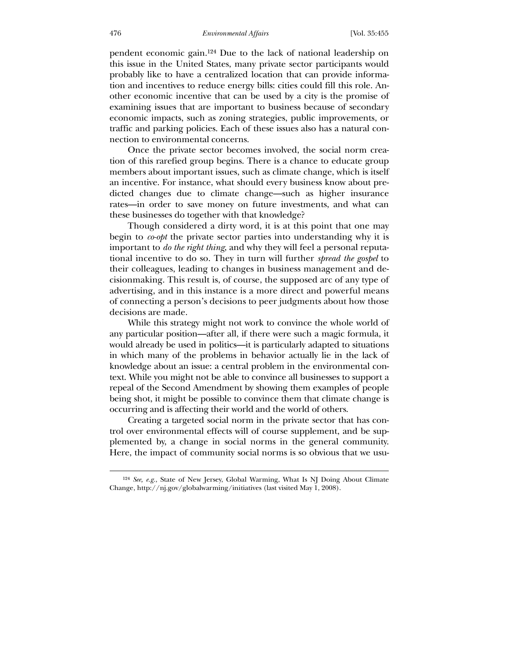#### 476 *Environmental Affairs* [Vol. 35:455

pendent economic gain.124 Due to the lack of national leadership on this issue in the United States, many private sector participants would probably like to have a centralized location that can provide information and incentives to reduce energy bills: cities could fill this role. Another economic incentive that can be used by a city is the promise of examining issues that are important to business because of secondary economic impacts, such as zoning strategies, public improvements, or traffic and parking policies. Each of these issues also has a natural connection to environmental concerns.

 Once the private sector becomes involved, the social norm creation of this rarefied group begins. There is a chance to educate group members about important issues, such as climate change, which is itself an incentive. For instance, what should every business know about predicted changes due to climate change—such as higher insurance rates—in order to save money on future investments, and what can these businesses do together with that knowledge?

 Though considered a dirty word, it is at this point that one may begin to *co-opt* the private sector parties into understanding why it is important to *do the right thing*, and why they will feel a personal reputational incentive to do so. They in turn will further *spread the gospel* to their colleagues, leading to changes in business management and decisionmaking. This result is, of course, the supposed arc of any type of advertising, and in this instance is a more direct and powerful means of connecting a person's decisions to peer judgments about how those decisions are made.

 While this strategy might not work to convince the whole world of any particular position—after all, if there were such a magic formula, it would already be used in politics—it is particularly adapted to situations in which many of the problems in behavior actually lie in the lack of knowledge about an issue: a central problem in the environmental context. While you might not be able to convince all businesses to support a repeal of the Second Amendment by showing them examples of people being shot, it might be possible to convince them that climate change is occurring and is affecting their world and the world of others.

 Creating a targeted social norm in the private sector that has control over environmental effects will of course supplement, and be supplemented by, a change in social norms in the general community. Here, the impact of community social norms is so obvious that we usu-

<sup>124</sup> *See, e.g.*, State of New Jersey, Global Warming, What Is NJ Doing About Climate Change, http://nj.gov/globalwarming/initiatives (last visited May 1, 2008).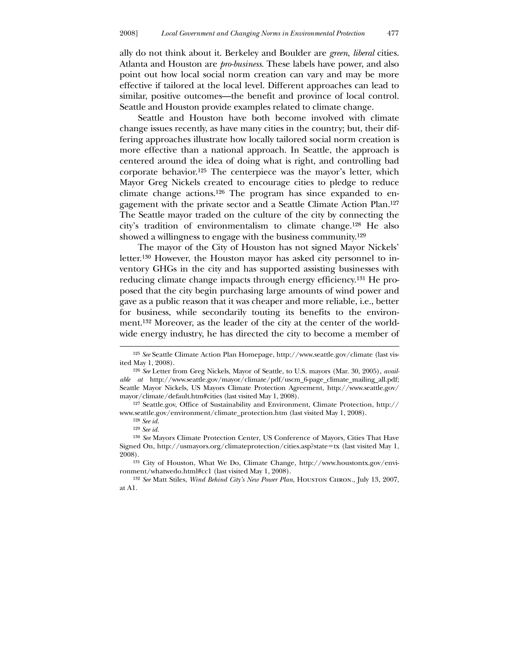ally do not think about it. Berkeley and Boulder are *green*, *liberal* cities. Atlanta and Houston are *pro-business*. These labels have power, and also point out how local social norm creation can vary and may be more effective if tailored at the local level. Different approaches can lead to similar, positive outcomes—the benefit and province of local control. Seattle and Houston provide examples related to climate change.

 Seattle and Houston have both become involved with climate change issues recently, as have many cities in the country; but, their differing approaches illustrate how locally tailored social norm creation is more effective than a national approach. In Seattle, the approach is centered around the idea of doing what is right, and controlling bad corporate behavior.125 The centerpiece was the mayor's letter, which Mayor Greg Nickels created to encourage cities to pledge to reduce climate change actions.126 The program has since expanded to engagement with the private sector and a Seattle Climate Action Plan.127 The Seattle mayor traded on the culture of the city by connecting the city's tradition of environmentalism to climate change.128 He also showed a willingness to engage with the business community.<sup>129</sup>

 The mayor of the City of Houston has not signed Mayor Nickels' letter.130 However, the Houston mayor has asked city personnel to inventory GHGs in the city and has supported assisting businesses with reducing climate change impacts through energy efficiency.131 He proposed that the city begin purchasing large amounts of wind power and gave as a public reason that it was cheaper and more reliable, i.e., better for business, while secondarily touting its benefits to the environment.132 Moreover, as the leader of the city at the center of the worldwide energy industry, he has directed the city to become a member of

<sup>125</sup> *See* Seattle Climate Action Plan Homepage, http://www.seattle.gov/climate (last visited May 1, 2008).

<sup>126</sup> *See* Letter from Greg Nickels, Mayor of Seattle, to U.S. mayors (Mar. 30, 2005), *available at* http://www.seattle.gov/mayor/climate/pdf/uscm\_6-page\_climate\_mailing\_all.pdf; Seattle Mayor Nickels, US Mayors Climate Protection Agreement, http://www.seattle.gov/ mayor/climate/default.htm#cities (last visited May 1, 2008).

<sup>127</sup> Seattle.gov, Office of Sustainability and Environment, Climate Protection, http:// www.seattle.gov/environment/climate\_protection.htm (last visited May 1, 2008).

<sup>128</sup> *See id.*

<sup>129</sup> *See id.*

<sup>130</sup> *See* Mayors Climate Protection Center, US Conference of Mayors, Cities That Have Signed On, http://usmayors.org/climateprotection/cities.asp?state=tx (last visited May 1, 2008).

<sup>131</sup> City of Houston, What We Do, Climate Change, http://www.houstontx.gov/environment/whatwedo.html#cc1 (last visited May 1, 2008).

<sup>132</sup> *See* Matt Stiles, *Wind Behind City's New Power Plan*, Houston Chron., July 13, 2007, at A1.